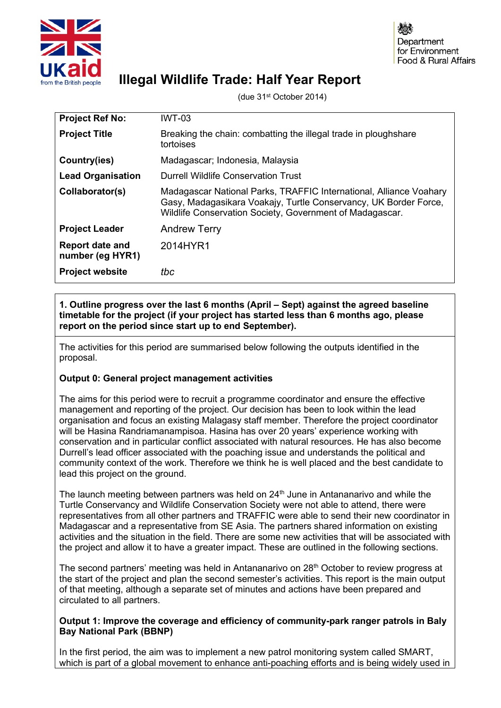

# **Illegal Wildlife Trade: Half Year Report**

(due 31st October 2014)

| <b>Project Ref No:</b>                     | <b>IWT-03</b>                                                                                                                                                                                      |
|--------------------------------------------|----------------------------------------------------------------------------------------------------------------------------------------------------------------------------------------------------|
| <b>Project Title</b>                       | Breaking the chain: combatting the illegal trade in ploughshare<br>tortoises                                                                                                                       |
| Country(ies)                               | Madagascar; Indonesia, Malaysia                                                                                                                                                                    |
| <b>Lead Organisation</b>                   | <b>Durrell Wildlife Conservation Trust</b>                                                                                                                                                         |
| Collaborator(s)                            | Madagascar National Parks, TRAFFIC International, Alliance Voahary<br>Gasy, Madagasikara Voakajy, Turtle Conservancy, UK Border Force,<br>Wildlife Conservation Society, Government of Madagascar. |
| <b>Project Leader</b>                      | <b>Andrew Terry</b>                                                                                                                                                                                |
| <b>Report date and</b><br>number (eg HYR1) | 2014HYR1                                                                                                                                                                                           |
| <b>Project website</b>                     | tbc                                                                                                                                                                                                |

**1. Outline progress over the last 6 months (April – Sept) against the agreed baseline timetable for the project (if your project has started less than 6 months ago, please report on the period since start up to end September).**

The activities for this period are summarised below following the outputs identified in the proposal.

# **Output 0: General project management activities**

The aims for this period were to recruit a programme coordinator and ensure the effective management and reporting of the project. Our decision has been to look within the lead organisation and focus an existing Malagasy staff member. Therefore the project coordinator will be Hasina Randriamanampisoa. Hasina has over 20 years' experience working with conservation and in particular conflict associated with natural resources. He has also become Durrell's lead officer associated with the poaching issue and understands the political and community context of the work. Therefore we think he is well placed and the best candidate to lead this project on the ground.

The launch meeting between partners was held on  $24<sup>th</sup>$  June in Antananarivo and while the Turtle Conservancy and Wildlife Conservation Society were not able to attend, there were representatives from all other partners and TRAFFIC were able to send their new coordinator in Madagascar and a representative from SE Asia. The partners shared information on existing activities and the situation in the field. There are some new activities that will be associated with the project and allow it to have a greater impact. These are outlined in the following sections.

The second partners' meeting was held in Antananarivo on 28<sup>th</sup> October to review progress at the start of the project and plan the second semester's activities. This report is the main output of that meeting, although a separate set of minutes and actions have been prepared and circulated to all partners.

#### **Output 1: Improve the coverage and efficiency of community-park ranger patrols in Baly Bay National Park (BBNP)**

In the first period, the aim was to implement a new patrol monitoring system called SMART, which is part of a global movement to enhance anti-poaching efforts and is being widely used in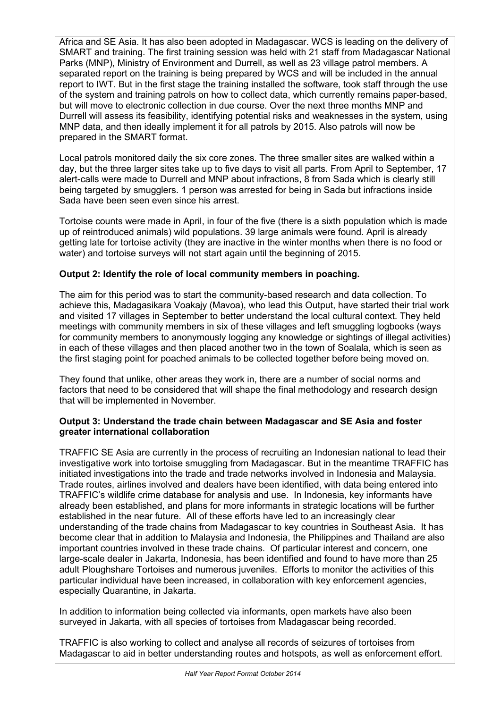Africa and SE Asia. It has also been adopted in Madagascar. WCS is leading on the delivery of SMART and training. The first training session was held with 21 staff from Madagascar National Parks (MNP), Ministry of Environment and Durrell, as well as 23 village patrol members. A separated report on the training is being prepared by WCS and will be included in the annual report to IWT. But in the first stage the training installed the software, took staff through the use of the system and training patrols on how to collect data, which currently remains paper-based, but will move to electronic collection in due course. Over the next three months MNP and Durrell will assess its feasibility, identifying potential risks and weaknesses in the system, using MNP data, and then ideally implement it for all patrols by 2015. Also patrols will now be prepared in the SMART format.

Local patrols monitored daily the six core zones. The three smaller sites are walked within a day, but the three larger sites take up to five days to visit all parts. From April to September, 17 alert-calls were made to Durrell and MNP about infractions, 8 from Sada which is clearly still being targeted by smugglers. 1 person was arrested for being in Sada but infractions inside Sada have been seen even since his arrest.

Tortoise counts were made in April, in four of the five (there is a sixth population which is made up of reintroduced animals) wild populations. 39 large animals were found. April is already getting late for tortoise activity (they are inactive in the winter months when there is no food or water) and tortoise surveys will not start again until the beginning of 2015.

# **Output 2: Identify the role of local community members in poaching.**

The aim for this period was to start the community-based research and data collection. To achieve this, Madagasikara Voakajy (Mavoa), who lead this Output, have started their trial work and visited 17 villages in September to better understand the local cultural context. They held meetings with community members in six of these villages and left smuggling logbooks (ways for community members to anonymously logging any knowledge or sightings of illegal activities) in each of these villages and then placed another two in the town of Soalala, which is seen as the first staging point for poached animals to be collected together before being moved on.

They found that unlike, other areas they work in, there are a number of social norms and factors that need to be considered that will shape the final methodology and research design that will be implemented in November.

## **Output 3: Understand the trade chain between Madagascar and SE Asia and foster greater international collaboration**

TRAFFIC SE Asia are currently in the process of recruiting an Indonesian national to lead their investigative work into tortoise smuggling from Madagascar. But in the meantime TRAFFIC has initiated investigations into the trade and trade networks involved in Indonesia and Malaysia. Trade routes, airlines involved and dealers have been identified, with data being entered into TRAFFIC's wildlife crime database for analysis and use. In Indonesia, key informants have already been established, and plans for more informants in strategic locations will be further established in the near future. All of these efforts have led to an increasingly clear understanding of the trade chains from Madagascar to key countries in Southeast Asia. It has become clear that in addition to Malaysia and Indonesia, the Philippines and Thailand are also important countries involved in these trade chains. Of particular interest and concern, one large-scale dealer in Jakarta, Indonesia, has been identified and found to have more than 25 adult Ploughshare Tortoises and numerous juveniles. Efforts to monitor the activities of this particular individual have been increased, in collaboration with key enforcement agencies, especially Quarantine, in Jakarta.

In addition to information being collected via informants, open markets have also been surveyed in Jakarta, with all species of tortoises from Madagascar being recorded.

TRAFFIC is also working to collect and analyse all records of seizures of tortoises from Madagascar to aid in better understanding routes and hotspots, as well as enforcement effort.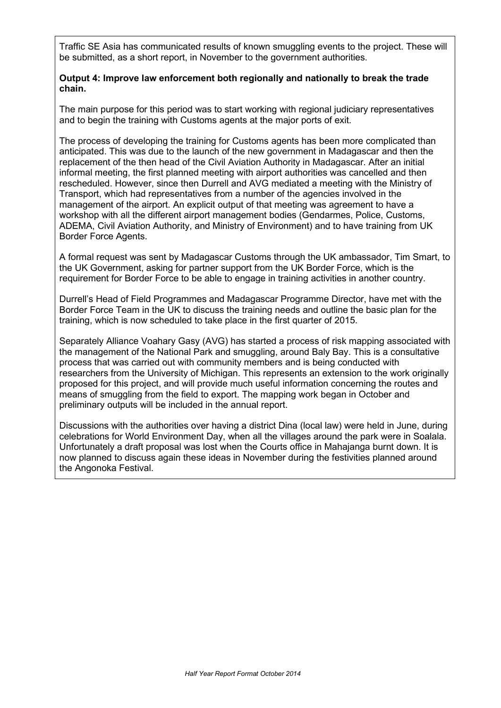Traffic SE Asia has communicated results of known smuggling events to the project. These will be submitted, as a short report, in November to the government authorities.

#### **Output 4: Improve law enforcement both regionally and nationally to break the trade chain.**

The main purpose for this period was to start working with regional judiciary representatives and to begin the training with Customs agents at the major ports of exit.

The process of developing the training for Customs agents has been more complicated than anticipated. This was due to the launch of the new government in Madagascar and then the replacement of the then head of the Civil Aviation Authority in Madagascar. After an initial informal meeting, the first planned meeting with airport authorities was cancelled and then rescheduled. However, since then Durrell and AVG mediated a meeting with the Ministry of Transport, which had representatives from a number of the agencies involved in the management of the airport. An explicit output of that meeting was agreement to have a workshop with all the different airport management bodies (Gendarmes, Police, Customs, ADEMA, Civil Aviation Authority, and Ministry of Environment) and to have training from UK Border Force Agents.

A formal request was sent by Madagascar Customs through the UK ambassador, Tim Smart, to the UK Government, asking for partner support from the UK Border Force, which is the requirement for Border Force to be able to engage in training activities in another country.

Durrell's Head of Field Programmes and Madagascar Programme Director, have met with the Border Force Team in the UK to discuss the training needs and outline the basic plan for the training, which is now scheduled to take place in the first quarter of 2015.

Separately Alliance Voahary Gasy (AVG) has started a process of risk mapping associated with the management of the National Park and smuggling, around Baly Bay. This is a consultative process that was carried out with community members and is being conducted with researchers from the University of Michigan. This represents an extension to the work originally proposed for this project, and will provide much useful information concerning the routes and means of smuggling from the field to export. The mapping work began in October and preliminary outputs will be included in the annual report.

Discussions with the authorities over having a district Dina (local law) were held in June, during celebrations for World Environment Day, when all the villages around the park were in Soalala. Unfortunately a draft proposal was lost when the Courts office in Mahajanga burnt down. It is now planned to discuss again these ideas in November during the festivities planned around the Angonoka Festival.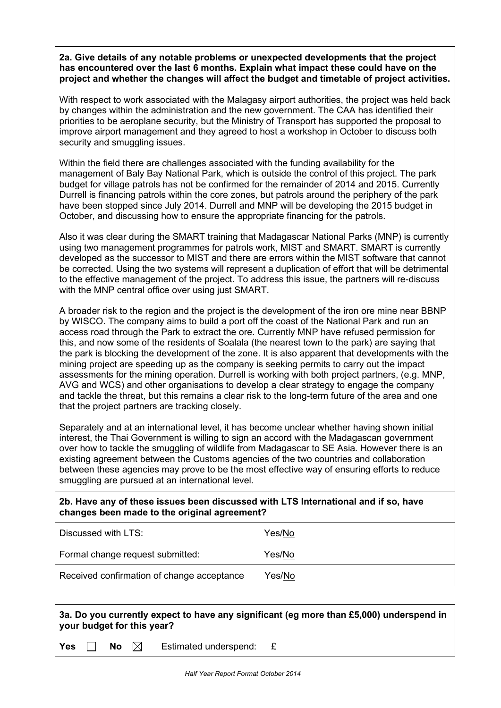**2a. Give details of any notable problems or unexpected developments that the project has encountered over the last 6 months. Explain what impact these could have on the project and whether the changes will affect the budget and timetable of project activities.**

With respect to work associated with the Malagasy airport authorities, the project was held back by changes within the administration and the new government. The CAA has identified their priorities to be aeroplane security, but the Ministry of Transport has supported the proposal to improve airport management and they agreed to host a workshop in October to discuss both security and smuggling issues.

Within the field there are challenges associated with the funding availability for the management of Baly Bay National Park, which is outside the control of this project. The park budget for village patrols has not be confirmed for the remainder of 2014 and 2015. Currently Durrell is financing patrols within the core zones, but patrols around the periphery of the park have been stopped since July 2014. Durrell and MNP will be developing the 2015 budget in October, and discussing how to ensure the appropriate financing for the patrols.

Also it was clear during the SMART training that Madagascar National Parks (MNP) is currently using two management programmes for patrols work, MIST and SMART. SMART is currently developed as the successor to MIST and there are errors within the MIST software that cannot be corrected. Using the two systems will represent a duplication of effort that will be detrimental to the effective management of the project. To address this issue, the partners will re-discuss with the MNP central office over using just SMART.

A broader risk to the region and the project is the development of the iron ore mine near BBNP by WISCO. The company aims to build a port off the coast of the National Park and run an access road through the Park to extract the ore. Currently MNP have refused permission for this, and now some of the residents of Soalala (the nearest town to the park) are saying that the park is blocking the development of the zone. It is also apparent that developments with the mining project are speeding up as the company is seeking permits to carry out the impact assessments for the mining operation. Durrell is working with both project partners, (e.g. MNP, AVG and WCS) and other organisations to develop a clear strategy to engage the company and tackle the threat, but this remains a clear risk to the long-term future of the area and one that the project partners are tracking closely.

Separately and at an international level, it has become unclear whether having shown initial interest, the Thai Government is willing to sign an accord with the Madagascan government over how to tackle the smuggling of wildlife from Madagascar to SE Asia. However there is an existing agreement between the Customs agencies of the two countries and collaboration between these agencies may prove to be the most effective way of ensuring efforts to reduce smuggling are pursued at an international level.

**2b. Have any of these issues been discussed with LTS International and if so, have changes been made to the original agreement?**

| Discussed with LTS:                        | Yes/No |
|--------------------------------------------|--------|
| Formal change request submitted:           | Yes/No |
| Received confirmation of change acceptance | Yes/No |

## **3a. Do you currently expect to have any significant (eg more than £5,000) underspend in your budget for this year?**

**Yes**  $\Box$  **No**  $\boxtimes$  Estimated underspend: £